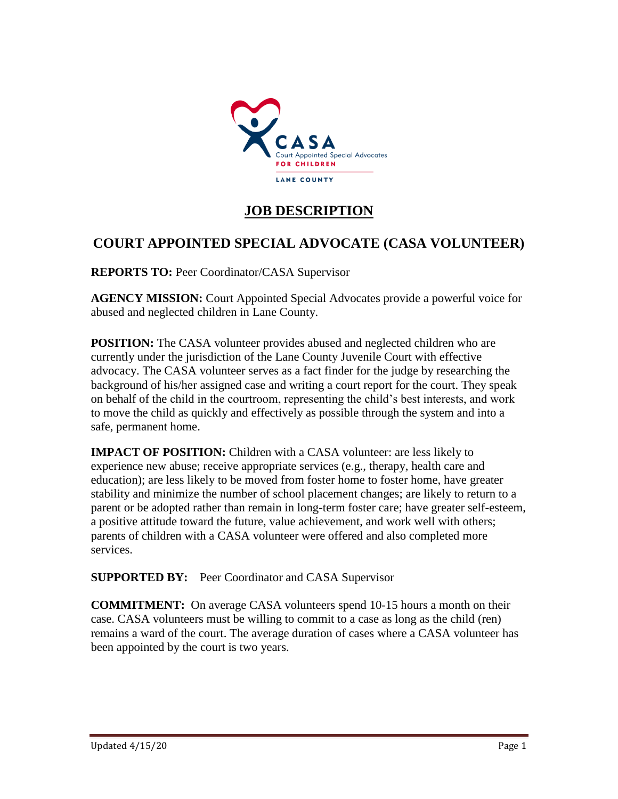

# **JOB DESCRIPTION**

## **COURT APPOINTED SPECIAL ADVOCATE (CASA VOLUNTEER)**

**REPORTS TO:** Peer Coordinator/CASA Supervisor

**AGENCY MISSION:** Court Appointed Special Advocates provide a powerful voice for abused and neglected children in Lane County.

**POSITION:** The CASA volunteer provides abused and neglected children who are currently under the jurisdiction of the Lane County Juvenile Court with effective advocacy. The CASA volunteer serves as a fact finder for the judge by researching the background of his/her assigned case and writing a court report for the court. They speak on behalf of the child in the courtroom, representing the child's best interests, and work to move the child as quickly and effectively as possible through the system and into a safe, permanent home.

**IMPACT OF POSITION:** Children with a CASA volunteer: are less likely to experience new abuse; receive appropriate services (e.g., therapy, health care and education); are less likely to be moved from foster home to foster home, have greater stability and minimize the number of school placement changes; are likely to return to a parent or be adopted rather than remain in long-term foster care; have greater self-esteem, a positive attitude toward the future, value achievement, and work well with others; parents of children with a CASA volunteer were offered and also completed more services.

**SUPPORTED BY:** Peer Coordinator and CASA Supervisor

**COMMITMENT:** On average CASA volunteers spend 10-15 hours a month on their case. CASA volunteers must be willing to commit to a case as long as the child (ren) remains a ward of the court. The average duration of cases where a CASA volunteer has been appointed by the court is two years.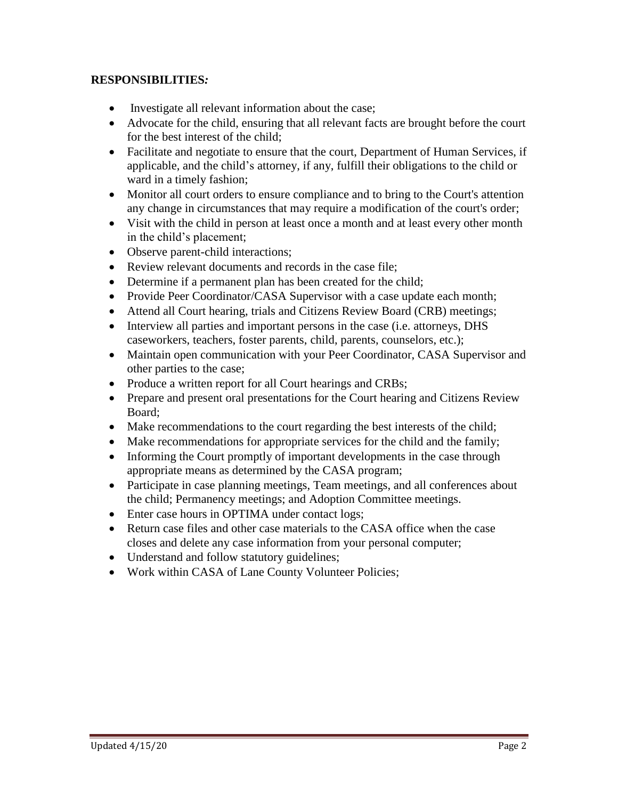#### **RESPONSIBILITIES***:*

- Investigate all relevant information about the case;
- Advocate for the child, ensuring that all relevant facts are brought before the court for the best interest of the child;
- Facilitate and negotiate to ensure that the court, Department of Human Services, if applicable, and the child's attorney, if any, fulfill their obligations to the child or ward in a timely fashion;
- Monitor all court orders to ensure compliance and to bring to the Court's attention any change in circumstances that may require a modification of the court's order;
- Visit with the child in person at least once a month and at least every other month in the child's placement;
- Observe parent-child interactions;
- Review relevant documents and records in the case file;
- Determine if a permanent plan has been created for the child;
- Provide Peer Coordinator/CASA Supervisor with a case update each month;
- Attend all Court hearing, trials and Citizens Review Board (CRB) meetings;
- Interview all parties and important persons in the case (i.e. attorneys, DHS caseworkers, teachers, foster parents, child, parents, counselors, etc.);
- Maintain open communication with your Peer Coordinator, CASA Supervisor and other parties to the case;
- Produce a written report for all Court hearings and CRBs;
- Prepare and present oral presentations for the Court hearing and Citizens Review Board;
- Make recommendations to the court regarding the best interests of the child;
- Make recommendations for appropriate services for the child and the family;
- Informing the Court promptly of important developments in the case through appropriate means as determined by the CASA program;
- Participate in case planning meetings, Team meetings, and all conferences about the child; Permanency meetings; and Adoption Committee meetings.
- Enter case hours in OPTIMA under contact logs;
- Return case files and other case materials to the CASA office when the case closes and delete any case information from your personal computer;
- Understand and follow statutory guidelines;
- Work within CASA of Lane County Volunteer Policies;